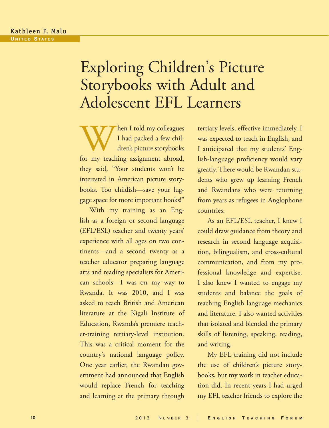# Exploring Children's Picture Storybooks with Adult and Adolescent EFL Learners

When I told my colleagues<br>
I had packed a few chil-<br>
dren's picture storybooks<br>
for my teaching assignment abroad, I had packed a few children's picture storybooks they said, "Your students won't be interested in American picture storybooks. Too childish—save your luggage space for more important books!"

With my training as an English as a foreign or second language (EFL/ESL) teacher and twenty years' experience with all ages on two continents—and a second twenty as a teacher educator preparing language arts and reading specialists for American schools—I was on my way to Rwanda. It was 2010, and I was asked to teach British and American literature at the Kigali Institute of Education, Rwanda's premiere teacher-training tertiary-level institution. This was a critical moment for the country's national language policy. One year earlier, the Rwandan government had announced that English would replace French for teaching and learning at the primary through

tertiary levels, effective immediately. I was expected to teach in English, and I anticipated that my students' English-language proficiency would vary greatly. There would be Rwandan students who grew up learning French and Rwandans who were returning from years as refugees in Anglophone countries.

As an EFL/ESL teacher, I knew I could draw guidance from theory and research in second language acquisition, bilingualism, and cross-cultural communication, and from my professional knowledge and expertise. I also knew I wanted to engage my students and balance the goals of teaching English language mechanics and literature. I also wanted activities that isolated and blended the primary skills of listening, speaking, reading, and writing.

My EFL training did not include the use of children's picture storybooks, but my work in teacher education did. In recent years I had urged my EFL teacher friends to explore the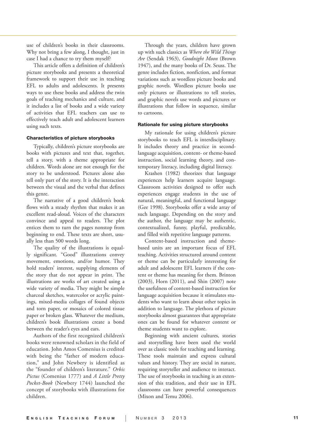use of children's books in their classrooms. Why not bring a few along, I thought, just in case I had a chance to try them myself?

This article offers a definition of children's picture storybooks and presents a theoretical framework to support their use in teaching EFL to adults and adolescents. It presents ways to use these books and address the twin goals of teaching mechanics and culture, and it includes a list of books and a wide variety of activities that EFL teachers can use to effectively teach adult and adolescent learners using such texts.

#### Characteristics of picture storybooks

Typically, children's picture storybooks are books with pictures and text that, together, tell a story, with a theme appropriate for children. Words alone are not enough for the story to be understood. Pictures alone also tell only part of the story. It is the interaction between the visual and the verbal that defines this genre.

The narrative of a good children's book flows with a steady rhythm that makes it an excellent read-aloud. Voices of the characters convince and appeal to readers. The plot entices them to turn the pages nonstop from beginning to end. These texts are short, usu ally less than 500 words long.

The quality of the illustrations is equal ly significant. "Good" illustrations convey movement, emotions, and/or humor. They hold readers' interest, supplying elements of the story that do not appear in print. The illustrations are works of art created using a wide variety of media. They might be simple charcoal sketches, watercolor or acrylic paint ings, mixed-media collages of found objects and torn paper, or mosaics of colored tissue paper or broken glass. Whatever the medium, children's book illustrations create a bond between the reader's eyes and ears.

Authors of the first recognized children's books were renowned scholars in the field of education. John Amos Comenius is credited with being the "father of modern educa tion," and John Newbery is identified as the "founder of children's literature." *Orbis Pictus* (Comenius 1777) and *A Little Pretty Pocket-Book* (Newbery 1744) launched the concept of storybooks with illustrations for children.

Through the years, children have grown up with such classics as *Where the Wild Things Are* (Sendak 1963), *Goodnight Moon* (Brown 1947), and the many books of Dr. Seuss. The genre includes fiction, nonfiction, and format variations such as wordless picture books and graphic novels. Wordless picture books use only pictures or illustrations to tell stories, and graphic novels use words and pictures or illustrations that follow in sequence, similar to cartoons.

## Rationale for using picture storybooks

My rationale for using children's picture storybooks to teach EFL is interdisciplinary. It includes theory and practice in secondlanguage acquisition, content- or theme-based instruction, social learning theory, and con temporary literacy, including digital literacy.

Krashen (1982) theorizes that language experiences help learners acquire language. Classroom activities designed to offer such experiences engage students in the use of natural, meaningful, and functional language (Gee 1998). Storybooks offer a wide array of such language. Depending on the story and the author, the language may be authentic, contextualized, funny, playful, predictable, and filled with repetitive language patterns.

Content-based instruction and themebased units are an important focus of EFL teaching. Activities structured around content or theme can be particularly interesting for adult and adolescent EFL learners if the con tent or theme has meaning for them. Brinton (2003), Horn (2011), and Shin (2007) note the usefulness of content-based instruction for language acquisition because it stimulates stu dents who want to learn about other topics in addition to language. The plethora of picture storybooks almost guarantees that appropriate ones can be found for whatever content or theme students want to explore.

Beginning with ancient cultures, stories and storytelling have been used the world over as classic tools for teaching and learning. These tools maintain and express cultural values and history. They are social in nature, requiring storyteller and audience to interact. The use of storybooks in teaching is an exten sion of this tradition, and their use in EFL classrooms can have powerful consequences (Mixon and Temu 2006).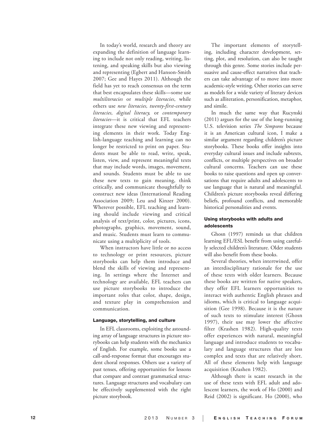In today's world, research and theory are expanding the definition of language learn ing to include not only reading, writing, lis tening, and speaking skills but also viewing and representing (Egbert and Hanson-Smith 2007; Gee and Hayes 2011). Although the field has yet to reach consensus on the term that best encapsulates these skills—some use *multiliteracies* or *multiple literacies*, while others use *new literacies, twenty-first-century literacies, digital literacy,* or *contemporary literacies*—it is critical that EFL teachers integrate these new viewing and represent ing elements in their work. Today Eng lish-language teaching and learning can no longer be restricted to print on paper. Stu dents must be able to read, write, speak, listen, view, and represent meaningful texts that may include words, images, movement, and sounds. Students must be able to use these new texts to gain meaning, think critically, and communicate thoughtfully to construct new ideas (International Reading Association 2009; Leu and Kinzer 2000). Wherever possible, EFL teaching and learn ing should include viewing and critical analysis of text/print, color, pictures, icons, photographs, graphics, movement, sound, and music. Students must learn to commu nicate using a multiplicity of tools.

When instructors have little or no access to technology or print resources, picture storybooks can help them introduce and blend the skills of viewing and represent ing. In settings where the Internet and technology are available, EFL teachers can use picture storybooks to introduce the important roles that color, shape, design, and texture play in comprehension and communication.

#### Language, storytelling, and culture

In EFL classrooms, exploiting the astound ing array of language structures in picture sto rybooks can help students with the mechanics of English. For example, some books use a call-and-response format that encourages stu dent choral responses. Others use a variety of past tenses, offering opportunities for lessons that compare and contrast grammatical struc tures. Language structures and vocabulary can be effectively supplemented with the right picture storybook.

The important elements of storytell ing, including character development, set ting, plot, and resolution, can also be taught through this genre. Some stories include per suasive and cause-effect narratives that teach ers can take advantage of to move into more academic-style writing. Other stories can serve as models for a wide variety of literary devices such as alliteration, personification, metaphor, and simile.

In much the same way that Rucynski (2011) argues for the use of the long-running U.S. television series *The Simpsons* because it is an American cultural icon, I make a similar argument regarding children's picture storybooks. These books offer insights into everyday cultural issues and include subtexts, conflicts, or multiple perspectives on broader cultural concerns. Teachers can use these books to raise questions and open up conver sations that require adults and adolescents to use language that is natural and meaningful. Children's picture storybooks reveal differing beliefs, profound conflicts, and memorable historical personalities and events.

## Using storybooks with adults and adolescents

Ghosn (1997) reminds us that children learning EFL/ESL benefit from using careful ly selected children's literature. Older students will also benefit from these books.

Several theories, when intertwined, offer an interdisciplinary rationale for the use of these texts with older learners. Because these books are written for native speakers, they offer EFL learners opportunities to interact with authentic English phrases and idioms, which is critical to language acqui sition (Gee 1998). Because it is the nature of such texts to stimulate interest (Ghosn 1997), their use may lower the affective filter (Krashen 1982). High-quality texts offer experiences with natural, meaningful language and introduce students to vocabu lary and language structures that are less complex and texts that are relatively short. All of these elements help with language acquisition (Krashen 1982).

Although there is scant research in the use of these texts with EFL adult and ado lescent learners, the work of Ho (2000) and Reid (2002) is significant. Ho (2000), who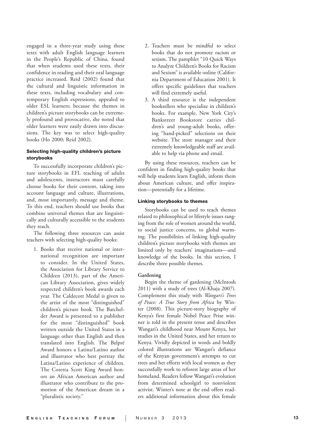engaged in a three-year study using these texts with adult English language learners in the People's Republic of China, found that when students used these texts, their confidence in reading and their oral language practice increased. Reid (2002) found that the cultural and linguistic information in these texts, including vocabulary and con temporary English expressions, appealed to older ESL learners; because the themes in children's picture storybooks can be extreme ly profound and provocative, she noted that older learners were easily drawn into discus sions. The key was to select high-quality books (Ho 2000; Reid 2002).

## Selecting high-quality children's picture storybooks

To successfully incorporate children's pic ture storybooks in EFL teaching of adults and adolescents, instructors must carefully choose books for their content, taking into account language and culture, illustrations, and, most importantly, message and theme. To this end, teachers should use books that combine universal themes that are linguisti cally and culturally accessible to the students they teach.

The following three resources can assist teachers with selecting high-quality books:

1. Books that receive national or inter national recognition are important to consider. In the United States, the Association for Library Service to Children (2013), part of the Ameri can Library Association, gives widely respected children's book awards each year. The Caldecott Medal is given to the artist of the most "distinguished" children's picture book. The Batchel der Award is presented to a publisher for the most "distinguished" book written outside the United States in a language other than English and then translated into English. The Belpré Award honors a Latina/Latino author and illustrator who best portray the Latina/Latino experience of children. The Coretta Scott King Award hon ors an African American author and illustrator who contribute to the pro motion of the American dream in a "pluralistic society."

- 2. Teachers must be mindful to select books that do not promote racism or sexism. The pamphlet "10 Quick Ways to Analyze Children's Books for Racism and Sexism" is available online (Califor nia Department of Education 2001). It offers specific guidelines that teachers will find extremely useful.
- 3. A third resource is the independent booksellers who specialize in children's books. For example, New York City's Bankstreet Bookstore carries chil dren's and young-adult books, offer ing "hand-picked" selections on their website. The store manager and their extremely knowledgeable staff are avail able to help via phone and email.

By using these resources, teachers can be confident in finding high-quality books that will help students learn English, inform them about American culture, and offer inspira tion—potentially for a lifetime.

## Linking storybooks to themes

Storybooks can be used to teach themes related to philosophical or lifestyle issues rang ing from the role of women around the world, to social justice concerns, to global warm ing. The possibilities of linking high-quality children's picture storybooks with themes are limited only by teachers' imaginations—and knowledge of the books. In this section, I describe three possible themes.

#### **Gardening**

Begin the theme of gardening (McIntosh 2011) with a study of trees (Al-Khaja 2007). Complement this study with *Wangari's Trees of Peace: A True Story from Africa* by Win ter (2008). This picture-story biography of Kenya's first female Nobel Peace Prize win ner is told in the present tense and describes Wangari's childhood near Mount Kenya, her studies in the United States, and her return to Kenya. Vividly depicted in words and boldly colored illustrations are Wangari's defiance of the Kenyan government's attempts to cut trees and her efforts with local women as they successfully work to reforest large areas of her homeland. Readers follow Wangari's evolution from determined schoolgirl to nonviolent activist. Winter's note at the end offers read ers additional information about this female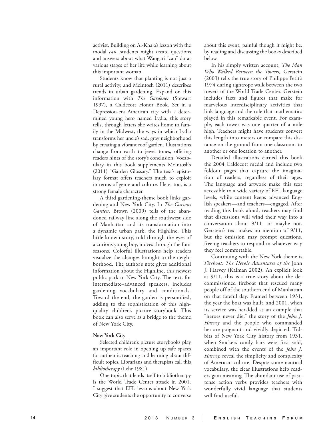activist. Building on Al-Khaja's lesson with the modal *can*, students might create questions and answers about what Wangari "can" do at various stages of her life while learning about this important woman.

Students know that planting is not just a rural activity, and McIntosh (2011) describes trends in urban gardening. Expand on this information with *The Gardener* (Stewart 1997)*,* a Caldecott Honor Book. Set in a Depression-era American city with a deter mined young hero named Lydia, this story tells, through letters she writes home to fam ily in the Midwest, the ways in which Lydia transforms her uncle's sad, gray neighborhood by creating a vibrant roof garden. Illustrations change from earth to jewel tones, offering readers hints of the story's conclusion. Vocab ulary in this book supplements McIntosh's (2011) "Garden Glossary." The text's episto lary format offers teachers much to exploit in terms of genre and culture. Here, too, is a strong female character.

A third gardening-theme book links gar dening and New York City. In *The Curious Garden,* Brown (2009) tells of the aban doned railway line along the southwest side of Manhattan and its transformation into a dynamic urban park, the Highline. This little-known story, told through the eyes of a curious young boy, moves through the four seasons. Colorful illustrations help readers visualize the changes brought to the neigh borhood. The author's note gives additional information about the Highline, this newest public park in New York City. The text, for intermediate–advanced speakers, includes gardening vocabulary and conditionals. Toward the end, the garden is personified, adding to the sophistication of this highquality children's picture storybook. This book can also serve as a bridge to the theme of New York City.

#### **New York City**

Selected children's picture storybooks play an important role in opening up safe spaces for authentic teaching and learning about difficult topics. Librarians and therapists call this *bibliotherapy* (Lehr 1981).

One topic that lends itself to bibliotherapy is the World Trade Center attack in 2001. I suggest that EFL lessons about New York City give students the opportunity to converse

about this event, painful though it might be, by reading and discussing the books described below.

In his simply written account, *The Man Who Walked Between the Towers,* Gerstein (2003) tells the true story of Philippe Petit's 1974 daring tightrope walk between the two towers of the World Trade Center. Gerstein includes facts and figures that make for marvelous interdisciplinary activities that link language and the role that mathematics played in this remarkable event. For exam ple, each tower was one quarter of a mile high. Teachers might have students convert this length into meters or compare this dis tance on the ground from one classroom to another or one location to another.

Detailed illustrations earned this book the 2004 Caldecott medal and include two foldout pages that capture the imagina tion of readers, regardless of their ages. The language and artwork make this text accessible to a wide variety of EFL language levels, while content keeps advanced Eng lish speakers—and teachers—engaged. After reading this book aloud, teachers may find that discussions will wind their way into a conversation about 9/11—or maybe not. Gerstein's text makes no mention of 9/11, but the omission may prompt questions, freeing teachers to respond in whatever way they feel comfortable.

Continuing with the New York theme is *Fireboat: The Heroic Adventures of the* John J. Harvey (Kalman 2002). An explicit look at 9/11, this is a true story about the decommissioned fireboat that rescued many people off of the southern end of Manhattan on that fateful day. Framed between 1931, the year the boat was built, and 2001, when its service was heralded as an example that "heroes never die," the story of the *John J. Harvey* and the people who commanded her are poignant and vividly depicted. Tid bits of New York City history from 1931, when Snickers candy bars were first sold, combined with the events of the *John J. Harvey,* reveal the simplicity and complexity of American culture. Despite some nautical vocabulary, the clear illustrations help read ers gain meaning. The abundant use of pasttense action verbs provides teachers with wonderfully vivid language that students will find useful.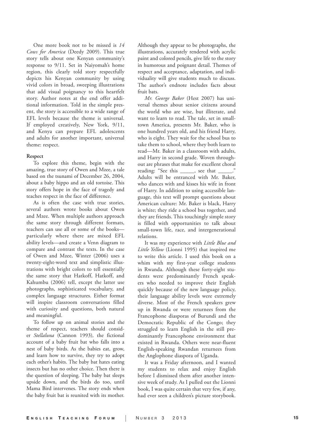One more book not to be missed is *14 Cows for America* (Deedy 2009). This true story tells about one Kenyan community's response to 9/11. Set in Naiyomah's home region, this clearly told story respectfully depicts his Kenyan community by using vivid colors in broad, sweeping illustrations that add visual poignancy to this heartfelt story. Author notes at the end offer addi tional information. Told in the simple pres ent, the story is accessible to a wide range of EFL levels because the theme is universal. If employed creatively, New York, 9/11, and Kenya can prepare EFL adolescents and adults for another important, universal theme: respect.

#### **Respect**

To explore this theme, begin with the amazing, true story of Owen and Mzee, a tale based on the tsunami of December 26, 2004, about a baby hippo and an old tortoise. This story offers hope in the face of tragedy and teaches respect in the face of difference.

As is often the case with true stories, several authors wrote books about Owen and Mzee. When multiple authors approach the same story through different formats, teachers can use all or some of the books particularly where there are mixed EFL ability levels—and create a Venn diagram to compare and contrast the texts. In the case of Owen and Mzee, Winter (2006) uses a twenty-eight-word text and simplistic illus trations with bright colors to tell essentially the same story that Hatkoff, Hatkoff, and Kahumbu (2006) tell, except the latter use photographs, sophisticated vocabulary, and complex language structures. Either format will inspire classroom conversations filled with curiosity and questions, both natural and meaningful.

To follow up on animal stories and the theme of respect, teachers should consid er *Stellaluna* (Cannon 1993) *,* the fictional account of a baby fruit bat who falls into a nest of baby birds. As the babies eat, grow, and learn how to survive, they try to adopt each other's habits. The baby bat hates eating insects but has no other choice. Then there is the question of sleeping. The baby bat sleeps upside down, and the birds do too, until Mama Bird intervenes. The story ends when the baby fruit bat is reunited with its mother.

Although they appear to be photographs, the illustrations, accurately rendered with acrylic paint and colored pencils, give life to the story in humorous and poignant detail. Themes of respect and acceptance, adaptation, and indi viduality will give students much to discuss. The author's endnote includes facts about fruit bats.

*Mr. George Baker* (Hest 2007) has uni versal themes about senior citizens around the world who are wise, but illiterate, and want to learn to read. The tale, set in smalltown America, presents Mr. Baker, who is one hundred years old, and his friend Harry, who is eight. They wait for the school bus to take them to school, where they both learn to read—Mr. Baker in a classroom with adults, and Harry in second grade. Woven through out are phrases that make for excellent choral reading: "See this \_\_\_\_\_, see that \_ Adults will be entranced with Mr. Baker, who dances with and kisses his wife in front of Harry. In addition to using accessible lan guage, this text will prompt questions about American culture: Mr. Baker is black, Harry is white; they ride a school bus together, and they are friends. This touchingly simple story is filled with opportunities to talk about small-town life, race, and intergenerational relations.

It was my experience with *Little Blue and Little Yellow* (Lionni 1995) that inspired me to write this article. I used this book on a whim with my first-year college students in Rwanda. Although these forty-eight stu dents were predominantly French speak ers who needed to improve their English quickly because of the new language policy, their language ability levels were extremely diverse. Most of the French speakers grew up in Rwanda or were returnees from the Francophone diasporas of Burundi and the Democratic Republic of the Congo; they struggled to learn English in the still pre dominantly Francophone environment that existed in Rwanda. Others were near-fluent English-speaking Rwandan returnees from the Anglophone diaspora of Uganda.

It was a Friday afternoon, and I wanted my students to relax and enjoy English before I dismissed them after another inten sive week of study. As I pulled out the Lionni book, I was quite certain that very few, if any, had ever seen a children's picture storybook.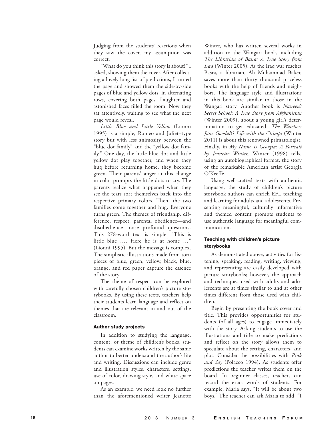Judging from the students' reactions when they saw the cover, my assumption was correct.

"What do you think this story is about?" I asked, showing them the cover. After collect ing a lovely long list of predictions, I turned the page and showed them the side-by-side pages of blue and yellow dots, in alternating rows, covering both pages. Laughter and astonished faces filled the room. Now they sat attentively, waiting to see what the next page would reveal.

*Little Blue and Little Yellow* (Lionni 1995) is a simple, Romeo and Juliet–type story but with less animosity between the "blue dot family" and the "yellow dot fam ily." One day, the little blue dot and little yellow dot play together, and when they hug before returning home, they become green. Their parents' anger at this change in color prompts the little dots to cry. The parents realize what happened when they see the tears sort themselves back into the respective primary colors. Then, the two families come together and hug. Everyone turns green. The themes of friendship, difference, respect, parental obedience—and disobedience—raise profound questions. This 278-word text is simple: "This is little blue …. Here he is at home …" (Lionni 1995). But the message is complex. The simplistic illustrations made from torn pieces of blue, green, yellow, black, blue, orange, and red paper capture the essence of the story.

The theme of respect can be explored with carefully chosen children's picture sto rybooks. By using these texts, teachers help their students learn language and reflect on themes that are relevant in and out of the classroom.

## Author study projects

In addition to studying the language, content, or theme of children's books, stu dents can examine works written by the same author to better understand the author's life and writing. Discussions can include genre and illustration styles, characters, settings, use of color, drawing style, and white space on pages.

As an example, we need look no further than the aforementioned writer Jeanette

Winter, who has written several works in addition to the Wangari book, including *The Librarian of Basra: A True Story from Iraq* (Winter 2005). As the Iraq war reaches Basra, a librarian, Ali Muhammad Baker, saves more than thirty thousand priceless books with the help of friends and neigh bors. The language style and illustrations in this book are similar to those in the Wangari story. Another book is *Nasreen's Secret School: A True Story from Afghanistan* (Winter 2009), about a young girl's deter mination to get educated. *The Watcher: Jane Goodall's Life with the Chimps* (Winter 2011) is about this renowned primatologist. Finally, in *My Name Is Georgia: A Portrait by Jeanette Winter,* Winter (1998) tells, using an autobiographical format, the story of the remarkable American artist Georgia O'Keeffe.

Using well-crafted texts with authentic language, the study of children's picture storybook authors can enrich EFL teaching and learning for adults and adolescents. Pre senting meaningful, culturally informative and themed content prompts students to use authentic language for meaningful com munication.

## Teaching with children's picture storybooks

As demonstrated above, activities for lis tening, speaking, reading, writing, viewing, and representing are easily developed with picture storybooks; however, the approach and techniques used with adults and ado lescents are at times similar to and at other times different from those used with chil dren.

Begin by presenting the book cover and title. This provides opportunities for stu dents (of all ages) to engage immediately with the story. Asking students to use the illustrations and title to make predictions and reflect on the story allows them to speculate about the setting, characters, and plot. Consider the possibilities with *Pink and Say* (Polacco 1994). As students offer predictions the teacher writes them on the board. In beginner classes, teachers can record the exact words of students. For example, Maria says, "It will be about two boys." The teacher can ask Maria to add, "I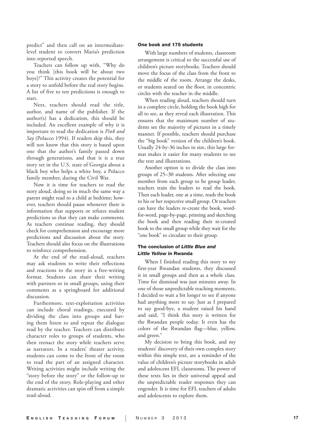predict" and then call on an intermediatelevel student to convert Maria's prediction into reported speech.

Teachers can follow up with, "Why do you think [this book will be about two boys]?" This activity creates the potential for a story to unfold before the real story begins. A list of five to ten predictions is enough to start.

Next, teachers should read the title, author, and name of the publisher. If the author(s) has a dedication, this should be included. An excellent example of why it is important to read the dedication is *Pink and Say* (Polacco 1994). If readers skip this, they will not know that this story is based upon one that the author's family passed down through generations, and that it is a true story set in the U.S. state of Georgia about a black boy who helps a white boy, a Polacco family member, during the Civil War.

Now it is time for teachers to read the story aloud, doing so in much the same way a parent might read to a child at bedtime; how ever, teachers should pause whenever there is information that supports or refutes student predictions so that they can make comments. As teachers continue reading, they should check for comprehension and encourage more predictions and discussion about the story. Teachers should also focus on the illustrations to reinforce comprehension.

At the end of the read-aloud, teachers may ask students to write their reflections and reactions to the story in a free-writing format. Students can share their writing with partners or in small groups, using their comments as a springboard for additional discussion.

Furthermore, text-exploitation activities can include choral readings, executed by dividing the class into groups and hav ing them listen to and repeat the dialogue read by the teacher. Teachers can distribute character roles to groups of students, who then reenact the story while teachers serve as narrators. In a readers' theater activity, students can come to the front of the room to read the part of an assigned character. Writing activities might include writing the "story before the story" or the follow-up to the end of the story. Role-playing and other dramatic activities can spin off from a simple read-aloud.

## One book and 175 students

With large numbers of students, classroom arrangement is critical to the successful use of children's picture storybooks. Teachers should move the focus of the class from the front to the middle of the room. Arrange the desks, or students seated on the floor, in concentric circles with the teacher in the middle.

When reading aloud, teachers should turn in a complete circle, holding the book high for all to see, as they reveal each illustration. This ensures that the maximum number of stu dents see the majority of pictures in a timely manner. If possible, teachers should purchase the "big book" version of the children's book. Usually 24-by-36 inches in size, this large for mat makes it easier for many students to see the text and illustrations.

Another option is to divide the class into groups of 25–30 students. After selecting one member from each group to be group leader, teachers train the leaders to read the book. Then each leader, one at a time, reads the book to his or her respective small group. Or teachers can have the leaders re-create the book, wordfor-word, page-by-page, printing and sketching the book and then reading their re-created book to the small group while they wait for the "one book" to circulate to their group.

# The conclusion of *Little Blue and Little Yellow* in Rwanda

When I finished reading this story to my first-year Rwandan students, they discussed it in small groups and then as a whole class. Time for dismissal was just minutes away. In one of those unpredictable teaching moments, I decided to wait a bit longer to see if anyone had anything more to say. Just as I prepared to say good-bye, a student raised his hand and said, "I think this story is written for the Rwandan people today. It even has the colors of the Rwandan flag—blue, yellow, and green."

My decision to bring this book, and my students' discovery of their own complex story within this simple text, are a reminder of the value of children's picture storybooks in adult and adolescent EFL classrooms. The power of these texts lies in their universal appeal and the unpredictable reader responses they can engender. It is time for EFL teachers of adults and adolescents to explore them.